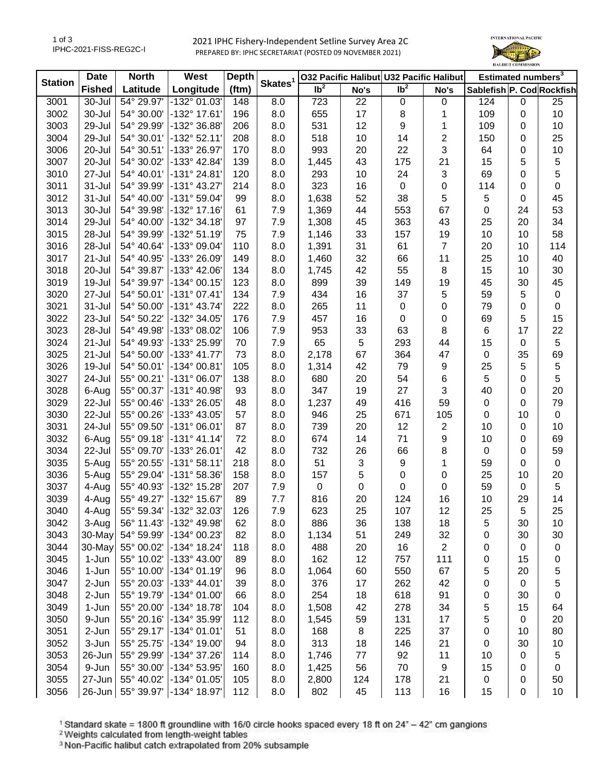2021 IPHC Fishery-Independent Setline Survey Area 2C PREPARED BY: IPHC SECRETARIAT (POSTED 09 NOVEMBER 2021)



| <b>Station</b> | <b>Date</b>   | <b>North</b> | <b>West</b>           | <b>Depth</b> |                     |                 |      | 032 Pacific Halibut U32 Pacific Halibut |                | Estimated numbers <sup>3</sup> |    |             |
|----------------|---------------|--------------|-----------------------|--------------|---------------------|-----------------|------|-----------------------------------------|----------------|--------------------------------|----|-------------|
|                | <b>Fished</b> | Latitude     | Longitude             | (ftm)        | Skates <sup>1</sup> | Ib <sup>2</sup> | No's | $\overline{\mathsf{lb}^2}$              | No's           | Sablefish P. Cod Rockfish      |    |             |
| 3001           | 30-Jul        | 54° 29.97'   | -132° 01.03'          | 148          | 8.0                 | 723             | 22   | $\pmb{0}$                               | 0              | 124                            | 0  | 25          |
| 3002           | 30-Jul        | 54° 30.00'   | -132° 17.61'          | 196          | 8.0                 | 655             | 17   | 8                                       | 1              | 109                            | 0  | 10          |
| 3003           | 29-Jul        | 54° 29.99'   | -132° 36.88'          | 206          | 8.0                 | 531             | 12   | 9                                       | 1              | 109                            | 0  | 10          |
| 3004           | 29-Jul        | 54° 30.01'   | $-132^{\circ}52.11'$  | 208          | 8.0                 | 518             | 10   | 14                                      | 2              | 150                            | 0  | 25          |
| 3006           | 20-Jul        | 54° 30.51'   | -133° 26.97'          | 170          | 8.0                 | 993             | 20   | 22                                      | 3              | 64                             | 0  | 10          |
| 3007           | 20-Jul        | 54° 30.02'   | -133° 42.84'          | 139          | 8.0                 | 1,445           | 43   | 175                                     | 21             | 15                             | 5  | 5           |
| 3010           | 27-Jul        | 54° 40.01'   | $-131°24.81'$         | 120          | 8.0                 | 293             | 10   | 24                                      | 3              | 69                             | 0  | 5           |
| 3011           | 31-Jul        | 54° 39.99'   | $-131^{\circ}$ 43.27' | 214          | 8.0                 | 323             | 16   | $\pmb{0}$                               | 0              | 114                            | 0  | $\pmb{0}$   |
| 3012           | 31-Jul        | 54° 40.00'   | -131° 59.04'          | 99           | 8.0                 | 1,638           | 52   | 38                                      | 5              | 5                              | 0  | 45          |
| 3013           | 30-Jul        | 54° 39.98'   | -132° 17.16'          | 61           | 7.9                 | 1,369           | 44   | 553                                     | 67             | $\pmb{0}$                      | 24 | 53          |
| 3014           | 29-Jul        | 54° 40.00'   | -132° 34.18'          | 97           | 7.9                 | 1,308           | 45   | 363                                     | 43             | 25                             | 20 | 34          |
| 3015           | 28-Jul        | 54° 39.99'   | $-132^{\circ} 51.19'$ | 75           | 7.9                 | 1,146           | 33   | 157                                     | 19             | 10                             | 10 | 58          |
| 3016           | 28-Jul        | 54° 40.64'   | -133° 09.04'          | 110          | 8.0                 | 1,391           | 31   | 61                                      | $\overline{7}$ | 20                             | 10 | 114         |
| 3017           | 21-Jul        | 54° 40.95'   | -133° 26.09'          | 149          | 8.0                 | 1,460           | 32   | 66                                      | 11             | 25                             | 10 | 40          |
| 3018           | 20-Jul        | 54° 39.87'   | -133° 42.06'          | 134          | 8.0                 | 1,745           | 42   | 55                                      | 8              | 15                             | 10 | 30          |
| 3019           | 19-Jul        | 54° 39.97'   | -134° 00.15'          | 123          | 8.0                 | 899             | 39   | 149                                     | 19             | 45                             | 30 | 45          |
| 3020           | 27-Jul        | 54° 50.01'   | $-131°07.41'$         | 134          | 7.9                 | 434             | 16   | 37                                      | 5              | 59                             | 5  | $\pmb{0}$   |
| 3021           | 31-Jul        | 54° 50.00'   | $-131°$ 43.74         | 222          | 8.0                 | 265             | 11   | $\mathbf 0$                             | 0              | 79                             | 0  | $\mathbf 0$ |
| 3022           | 23-Jul        | 54° 50.22'   | -132° 34.05'          | 176          | 7.9                 | 457             | 16   | 0                                       | 0              | 69                             | 5  | 15          |
| 3023           | 28-Jul        | 54° 49.98'   | -133° 08.02'          | 106          | 7.9                 | 953             | 33   | 63                                      | 8              | 6                              | 17 | 22          |
| 3024           | 21-Jul        | 54° 49.93'   | -133° 25.99'          | 70           | 7.9                 | 65              | 5    | 293                                     | 44             | 15                             | 0  | 5           |
| 3025           | 21-Jul        | 54° 50.00'   | -133° 41.77'          | 73           | 8.0                 | 2,178           | 67   | 364                                     | 47             | $\mathbf 0$                    | 35 | 69          |
| 3026           | 19-Jul        | 54° 50.01'   | $-134^{\circ}$ 00.81' | 105          | 8.0                 | 1,314           | 42   | 79                                      | 9              | 25                             | 5  | 5           |
| 3027           | 24-Jul        | 55° 00.21'   | -131° 06.07'          | 138          | 8.0                 | 680             | 20   | 54                                      | 6              | $\sqrt{5}$                     | 0  | 5           |
| 3028           | 6-Aug         | 55° 00.37'   | -131° 40.98'          | 93           | 8.0                 | 347             | 19   | 27                                      | $\sqrt{3}$     | 40                             | 0  | 20          |
| 3029           | 22-Jul        | 55° 00.46'   | -133° 26.05'          | 48           | 8.0                 | 1,237           | 49   | 416                                     | 59             | $\pmb{0}$                      | 0  | 79          |
| 3030           | 22-Jul        | 55° 00.26'   | -133° 43.05'          | 57           | 8.0                 | 946             | 25   | 671                                     | 105            | $\mathbf 0$                    | 10 | $\mathbf 0$ |
| 3031           | 24-Jul        | 55° 09.50'   | $-131°06.01'$         | 87           | 8.0                 | 739             | 20   | 12                                      | $\overline{2}$ | 10                             | 0  | 10          |
| 3032           | 6-Aug         | 55° 09.18'   | $-131°$ 41.14         | 72           | 8.0                 | 674             | 14   | 71                                      | 9              | 10                             | 0  | 69          |
| 3034           | 22-Jul        | 55° 09.70'   | -133° 26.01'          | 42           | 8.0                 | 732             | 26   | 66                                      | 8              | $\pmb{0}$                      | 0  | 59          |
| 3035           | 5-Aug         | 55° 20.55'   | $-131°58.11'$         | 218          | 8.0                 | 51              | 3    | 9                                       | 1              | 59                             | 0  | $\mathbf 0$ |
| 3036           | 5-Aug         | 55° 29.04'   | -131° 58.36'          | 158          | 8.0                 | 157             | 5    | 0                                       | 0              | 25                             | 10 | 20          |
| 3037           | 4-Aug         | 55° 40.93'   | -132° 15.28'          | 207          | 7.9                 | 0               | 0    | 0                                       | 0              | 59                             | 0  | 5           |
| 3039           | 4-Aug         | 55° 49.27'   | -132° 15.67'          | 89           | 7.7                 | 816             | 20   | 124                                     | 16             | 10                             | 29 | 14          |
| 3040           | 4-Aug         | 55° 59.34'   | -132° 32.03'          | 126          | 7.9                 | 623             | 25   | 107                                     | 12             | 25                             | 5  | 25          |
| 3042           | 3-Aug         | 56° 11.43'   | -132° 49.98'          | 62           | 8.0                 | 886             | 36   | 138                                     | 18             | 5                              | 30 | 10          |
| 3043           | 30-May        | 54° 59.99'   | -134° 00.23'          | 82           | 8.0                 | 1,134           | 51   | 249                                     | 32             | 0                              | 30 | 30          |
| 3044           | 30-May        | 55° 00.02'   | -134° 18.24'          | 118          | 8.0                 | 488             | 20   | 16                                      | $\overline{2}$ | 0                              | 0  | 0           |
| 3045           | 1-Jun         | 55° 10.02'   | -133° 43.00'          | 89           | 8.0                 | 162             | 12   | 757                                     | 111            | 0                              | 15 | 0           |
| 3046           | 1-Jun         | 55° 10.00'   | $-134^{\circ}$ 01.19  | 96           | 8.0                 | 1,064           | 60   | 550                                     | 67             | 5                              | 20 | 5           |
| 3047           | 2-Jun         | 55° 20.03'   | $-133^{\circ}$ 44.01' | 39           | 8.0                 | 376             | 17   | 262                                     | 42             | 0                              | 0  | 5           |
| 3048           | 2-Jun         | 55° 19.79'   | -134° 01.00'          | 66           | 8.0                 | 254             | 18   | 618                                     | 91             | 0                              | 30 | 0           |
| 3049           | 1-Jun         | 55° 20.00'   | -134° 18.78'          | 104          | 8.0                 | 1,508           | 42   | 278                                     | 34             | 5                              | 15 | 64          |
| 3050           | 9-Jun         | 55° 20.16'   | -134° 35.99'          | 112          | 8.0                 | 1,545           | 59   | 131                                     | 17             | 5                              | 0  | 20          |
| 3051           | 2-Jun         | 55° 29.17'   | $-134^{\circ}$ 01.01' | 51           | 8.0                 | 168             | 8    | 225                                     | 37             | 0                              | 10 | 80          |
| 3052           | 3-Jun         | 55° 25.75'   | -134° 19.00'          | 94           | 8.0                 | 313             | 18   | 146                                     | 21             | 0                              | 30 | 10          |
| 3053           | 26-Jun        | 55° 29.99'   | -134° 37.26'          | 114          | 8.0                 | 1,746           | 77   | 92                                      | 11             | 10                             | 0  | 5           |
| 3054           | 9-Jun         | 55° 30.00'   | -134° 53.95'          | 160          | 8.0                 | 1,425           | 56   | 70                                      | 9              | 15                             | 0  | $\mathbf 0$ |
| 3055           | 27-Jun        | 55° 40.02'   | -134° 01.05'          | 105          | 8.0                 | 2,800           | 124  | 178                                     | 21             | 0                              | 0  | 50          |
| 3056           | $26$ -Jun     | 55° 39.97'   | -134° 18.97'          | 112          | 8.0                 | 802             | 45   | 113                                     | 16             | 15                             | 0  | 10          |

<sup>1</sup> Standard skate = 1800 ft groundline with 16/0 circle hooks spaced every 18 ft on 24<sup>\*</sup> – 42<sup>\*</sup> cm gangions <sup>2</sup> Weights calculated from length-weight tables<br><sup>2</sup> Weights calculated from length-weight tables<br><sup>3</sup> Non-Paci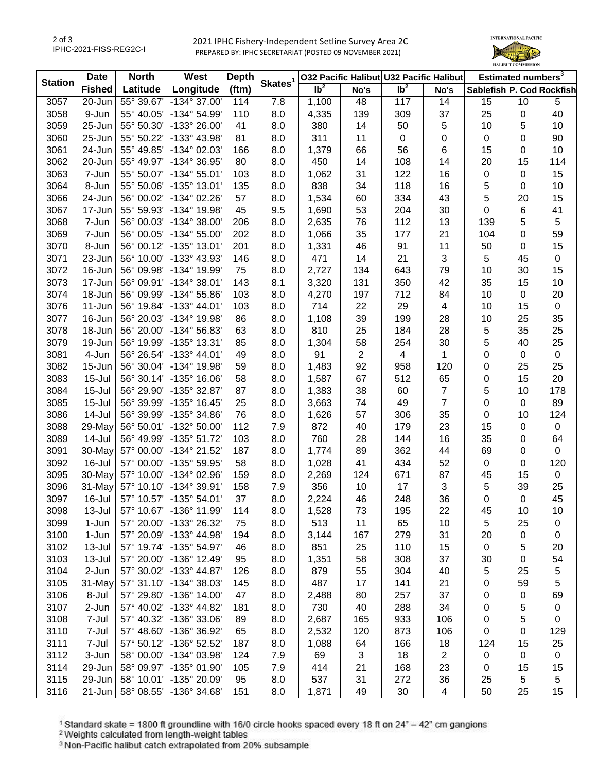2021 IPHC Fishery-Independent Setline Survey Area 2C PREPARED BY: IPHC SECRETARIAT (POSTED 09 NOVEMBER 2021)



| <b>Station</b> | <b>Date</b>   | <b>North</b> | West                  | <b>Depth</b> | Skates <sup>1</sup> |                 |                | 032 Pacific Halibut U32 Pacific Halibut |                          | Estimated numbers <sup>3</sup> |    |             |
|----------------|---------------|--------------|-----------------------|--------------|---------------------|-----------------|----------------|-----------------------------------------|--------------------------|--------------------------------|----|-------------|
|                | <b>Fished</b> | Latitude     | Longitude             | (ftm)        |                     | Ib <sup>2</sup> | No's           | $\overline{1}b^2$                       | No's                     | Sablefish P. Cod Rockfish      |    |             |
| 3057           | 20-Jun        | 55° 39.67'   | -134° 37.00'          | 114          | 7.8                 | 1,100           | 48             | 117                                     | 14                       | 15                             | 10 | 5           |
| 3058           | 9-Jun         | 55° 40.05'   | -134° 54.99'          | 110          | 8.0                 | 4,335           | 139            | 309                                     | 37                       | 25                             | 0  | 40          |
| 3059           | 25-Jun        | 55° 50.30'   | -133° 26.00'          | 41           | 8.0                 | 380             | 14             | 50                                      | 5                        | 10                             | 5  | 10          |
| 3060           | 25-Jun        | 55° 50.22'   | -133° 43.98'          | 81           | 8.0                 | 311             | 11             | $\mathbf 0$                             | 0                        | $\mathbf 0$                    | 0  | 90          |
| 3061           | 24-Jun        | 55° 49.85'   | -134° 02.03'          | 166          | 8.0                 | 1,379           | 66             | 56                                      | 6                        | 15                             | 0  | 10          |
| 3062           | 20-Jun        | 55° 49.97'   | -134° 36.95'          | 80           | 8.0                 | 450             | 14             | 108                                     | 14                       | 20                             | 15 | 114         |
| 3063           | 7-Jun         | 55° 50.07'   | $-134^{\circ} 55.01'$ | 103          | 8.0                 | 1,062           | 31             | 122                                     | 16                       | $\pmb{0}$                      | 0  | 15          |
| 3064           | 8-Jun         | 55° 50.06'   | -135° 13.01'          | 135          | 8.0                 | 838             | 34             | 118                                     | 16                       | 5                              | 0  | 10          |
| 3066           | 24-Jun        | 56° 00.02'   | -134° 02.26'          | 57           | 8.0                 | 1,534           | 60             | 334                                     | 43                       | 5                              | 20 | 15          |
| 3067           | $17 - Jun$    | 55° 59.93'   | -134° 19.98'          | 45           | 9.5                 | 1,690           | 53             | 204                                     | 30                       | $\mathbf 0$                    | 6  | 41          |
| 3068           | 7-Jun         | 56° 00.03'   | -134° 38.00'          | 206          | 8.0                 | 2,635           | 76             | 112                                     | 13                       | 139                            | 5  | 5           |
| 3069           | 7-Jun         | 56° 00.05'   | -134° 55.00'          | 202          | 8.0                 | 1,066           | 35             | 177                                     | 21                       | 104                            | 0  | 59          |
| 3070           | 8-Jun         | 56° 00.12'   | -135° 13.01'          | 201          | 8.0                 | 1,331           | 46             | 91                                      | 11                       | 50                             | 0  | 15          |
| 3071           | 23-Jun        | 56° 10.00'   | -133° 43.93'          | 146          | 8.0                 | 471             | 14             | 21                                      | $\mathfrak{S}$           | 5                              | 45 | $\pmb{0}$   |
| 3072           | 16-Jun        | 56° 09.98'   | -134° 19.99'          | 75           | 8.0                 | 2,727           | 134            | 643                                     | 79                       | 10                             | 30 | 15          |
| 3073           | 17-Jun        | 56° 09.91'   | -134° 38.01'          | 143          | 8.1                 | 3,320           | 131            | 350                                     | 42                       | 35                             | 15 | 10          |
| 3074           | 18-Jun        | 56° 09.99'   | -134° 55.86'          | 103          | 8.0                 | 4,270           | 197            | 712                                     | 84                       | 10                             | 0  | 20          |
| 3076           | 11-Jun        | 56° 19.84'   | -133° 44.01'          | 103          | 8.0                 | 714             | 22             | 29                                      | 4                        | 10                             | 15 | $\pmb{0}$   |
| 3077           | 16-Jun        | 56° 20.03'   | -134° 19.98'          | 86           | 8.0                 | 1,108           | 39             | 199                                     | 28                       | 10                             | 25 | 35          |
| 3078           | 18-Jun        | 56° 20.00'   | -134° 56.83'          | 63           | 8.0                 | 810             | 25             | 184                                     | 28                       | 5                              | 35 | 25          |
| 3079           | 19-Jun        | 56° 19.99'   | -135° 13.31'          | 85           | 8.0                 | 1,304           | 58             | 254                                     | 30                       | 5                              | 40 | 25          |
| 3081           | 4-Jun         | 56° 26.54'   | -133° 44.01'          | 49           | 8.0                 | 91              | $\overline{2}$ | $\overline{4}$                          | 1                        | 0                              | 0  | $\pmb{0}$   |
| 3082           | $15 - Jun$    | 56° 30.04'   | -134° 19.98'          | 59           | 8.0                 | 1,483           | 92             | 958                                     | 120                      | 0                              | 25 | 25          |
| 3083           | $15 -$ Jul    | 56° 30.14'   | $-135^{\circ}$ 16.06' | 58           | 8.0                 | 1,587           | 67             | 512                                     | 65                       | 0                              | 15 | 20          |
| 3084           | $15 -$ Jul    | 56° 29.90'   | -135° 32.87'          | 87           | 8.0                 | 1,383           | 38             | 60                                      | $\overline{7}$           | 5                              | 10 | 178         |
| 3085           | $15 -$ Jul    | 56° 39.99'   | -135° 16.45'          | 25           | 8.0                 | 3,663           | 74             | 49                                      | $\overline{7}$           | 0                              | 0  | 89          |
| 3086           | 14-Jul        | 56° 39.99'   | -135° 34.86'          | 76           | 8.0                 | 1,626           | 57             | 306                                     | 35                       | $\mathbf 0$                    | 10 | 124         |
| 3088           | 29-May        | 56° 50.01'   | -132° 50.00'          | 112          | 7.9                 | 872             | 40             | 179                                     | 23                       | 15                             | 0  | $\mathbf 0$ |
| 3089           | 14-Jul        | 56° 49.99'   | -135° 51.72'          | 103          | 8.0                 | 760             | 28             | 144                                     | 16                       | 35                             | 0  | 64          |
| 3091           | 30-May        | 57° 00.00'   | -134° 21.52'          | 187          | 8.0                 | 1,774           | 89             | 362                                     | 44                       | 69                             | 0  | $\mathbf 0$ |
| 3092           | 16-Jul        | 57° 00.00'   | -135° 59.95'          | 58           | 8.0                 | 1,028           | 41             | 434                                     | 52                       | $\boldsymbol{0}$               | 0  | 120         |
| 3095           | 30-May        | 57° 10.00'   | -134° 02.96'          | 159          | 8.0                 | 2,269           | 124            | 671                                     | 87                       | 45                             | 15 | $\mathbf 0$ |
| 3096           | 31-May        | 57° 10.10'   | -134° 39.91'          | 158          | 7.9                 | 356             | 10             | 17                                      | $\mathfrak{S}$           | 5                              | 39 | 25          |
| 3097           | 16-Jul        | 57° 10.57'   | -135° 54.01'          | 37           | 8.0                 | 2,224           | 46             | 248                                     | 36                       | $\mathbf 0$                    | 0  | 45          |
| 3098           | 13-Jul        | 57° 10.67'   | $-136°11.99$          | 114          | 8.0                 | 1,528           | 73             | 195                                     | 22                       | 45                             | 10 | 10          |
| 3099           | 1-Jun         | 57° 20.00'   | -133° 26.32'          | 75           | 8.0                 | 513             | 11             | 65                                      | 10                       | 5                              | 25 | 0           |
| 3100           | 1-Jun         | 57° 20.09'   | -133° 44.98'          | 194          | 8.0                 | 3,144           | 167            | 279                                     | 31                       | 20                             | 0  | 0           |
| 3102           | 13-Jul        | 57° 19.74'   | -135° 54.97'          | 46           | 8.0                 | 851             | 25             | 110                                     | 15                       | 0                              | 5  | 20          |
| 3103           | 13-Jul        | 57° 20.00'   | -136° 12.49'          | 95           | 8.0                 | 1,351           | 58             | 308                                     | 37                       | 30                             | 0  | 54          |
| 3104           | 2-Jun         | 57° 30.02'   | -133° 44.87'          | 126          | 8.0                 | 879             | 55             | 304                                     | 40                       | 5                              | 25 | 5           |
| 3105           | 31-May        | 57° 31.10'   | -134° 38.03'          | 145          | 8.0                 | 487             | 17             | 141                                     | 21                       | 0                              | 59 | 5           |
| 3106           | 8-Jul         | 57° 29.80'   | -136° 14.00'          | 47           | 8.0                 | 2,488           | 80             | 257                                     | 37                       | 0                              | 0  | 69          |
| 3107           | 2-Jun         | 57° 40.02'   | -133° 44.82'          | 181          | 8.0                 | 730             | 40             | 288                                     | 34                       | 0                              | 5  | $\pmb{0}$   |
| 3108           | 7-Jul         | 57° 40.32'   | -136° 33.06'          | 89           | 8.0                 | 2,687           | 165            | 933                                     | 106                      | 0                              | 5  | $\mathbf 0$ |
| 3110           | 7-Jul         | 57° 48.60'   | -136° 36.92'          | 65           | 8.0                 | 2,532           | 120            | 873                                     | 106                      | $\mathbf 0$                    | 0  | 129         |
| 3111           | 7-Jul         | 57° 50.12'   | -136° 52.52'          | 187          | 8.0                 | 1,088           | 64             | 166                                     | 18                       | 124                            | 15 | 25          |
| 3112           | 3-Jun         | 58° 00.00'   | -134° 03.98'          | 124          | 7.9                 | 69              | 3              | 18                                      | $\overline{2}$           | $\pmb{0}$                      | 0  | $\pmb{0}$   |
| 3114           | 29-Jun        | 58° 09.97'   | -135° 01.90'          | 105          | 7.9                 | 414             | 21             | 168                                     | 23                       | $\mathbf 0$                    | 15 | 15          |
| 3115           | 29-Jun        | 58° 10.01'   | -135° 20.09'          | 95           | 8.0                 | 537             | 31             | 272                                     | 36                       | 25                             | 5  | 5           |
| 3116           | $21$ -Jun     | 58° 08.55'   | -136° 34.68'          | 151          | 8.0                 | 1,871           | 49             | 30                                      | $\overline{\mathcal{A}}$ | 50                             | 25 | 15          |
|                |               |              |                       |              |                     |                 |                |                                         |                          |                                |    |             |

<sup>1</sup> Standard skate = 1800 ft groundline with 16/0 circle hooks spaced every 18 ft on 24<sup>\*</sup> – 42<sup>\*</sup> cm gangions <sup>2</sup> Weights calculated from length-weight tables<br><sup>2</sup> Weights calculated from length-weight tables<br><sup>3</sup> Non-Paci